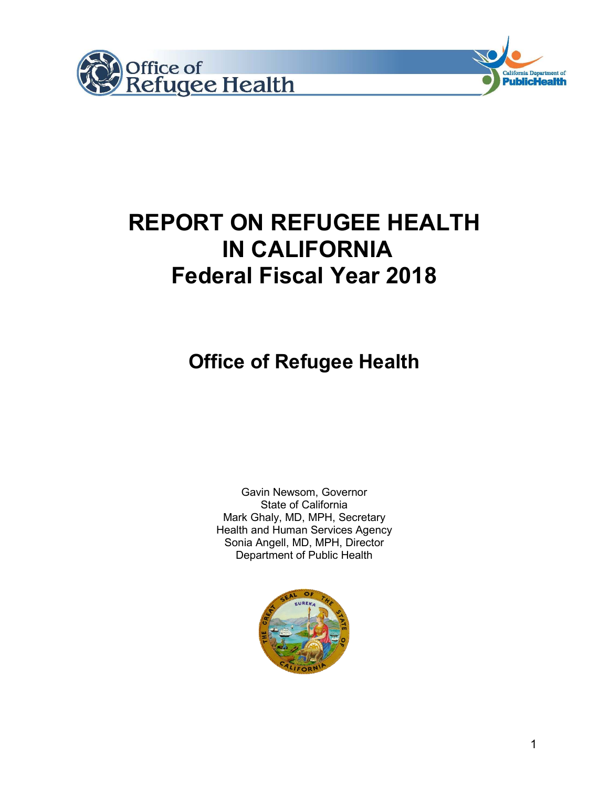



# **Office of Refugee Health**

Gavin Newsom, Governor State of California Mark Ghaly, MD, MPH, Secretary Health and Human Services Agency Sonia Angell, MD, MPH, Director Department of Public Health



California Department of **PublicHealth**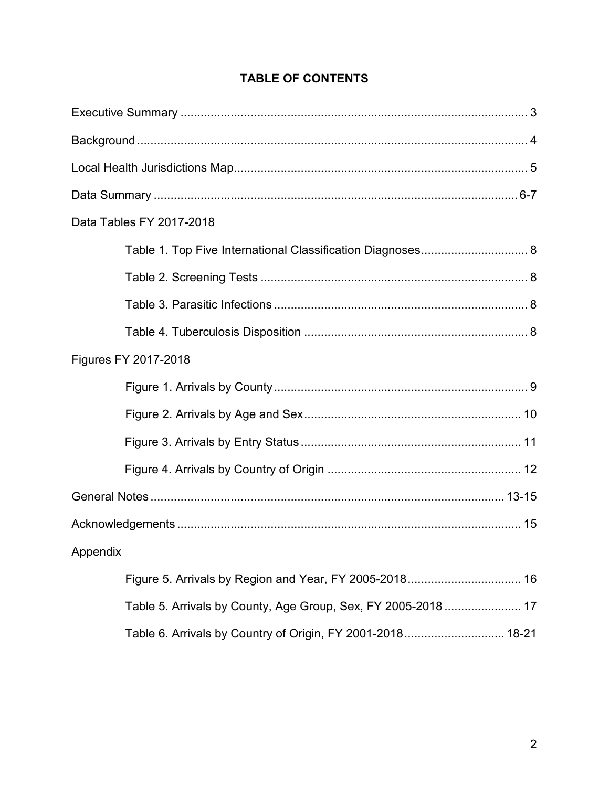| Data Tables FY 2017-2018                                      |
|---------------------------------------------------------------|
|                                                               |
|                                                               |
|                                                               |
|                                                               |
| Figures FY 2017-2018                                          |
|                                                               |
|                                                               |
|                                                               |
|                                                               |
|                                                               |
|                                                               |
| Appendix                                                      |
| Figure 5. Arrivals by Region and Year, FY 2005-2018 16        |
| Table 5. Arrivals by County, Age Group, Sex, FY 2005-2018  17 |
| Table 6. Arrivals by Country of Origin, FY 2001-2018 18-21    |

# **TABLE OF CONTENTS**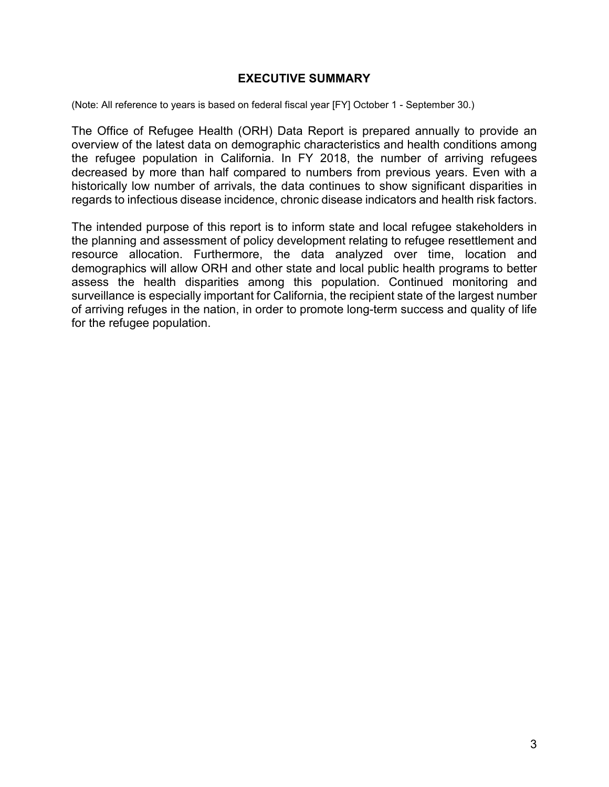#### **EXECUTIVE SUMMARY**

(Note: All reference to years is based on federal fiscal year [FY] October 1 - September 30.)

The Office of Refugee Health (ORH) Data Report is prepared annually to provide an overview of the latest data on demographic characteristics and health conditions among the refugee population in California. In FY 2018, the number of arriving refugees decreased by more than half compared to numbers from previous years. Even with a historically low number of arrivals, the data continues to show significant disparities in regards to infectious disease incidence, chronic disease indicators and health risk factors.

The intended purpose of this report is to inform state and local refugee stakeholders in the planning and assessment of policy development relating to refugee resettlement and resource allocation. Furthermore, the data analyzed over time, location and demographics will allow ORH and other state and local public health programs to better assess the health disparities among this population. Continued monitoring and surveillance is especially important for California, the recipient state of the largest number of arriving refuges in the nation, in order to promote long-term success and quality of life for the refugee population.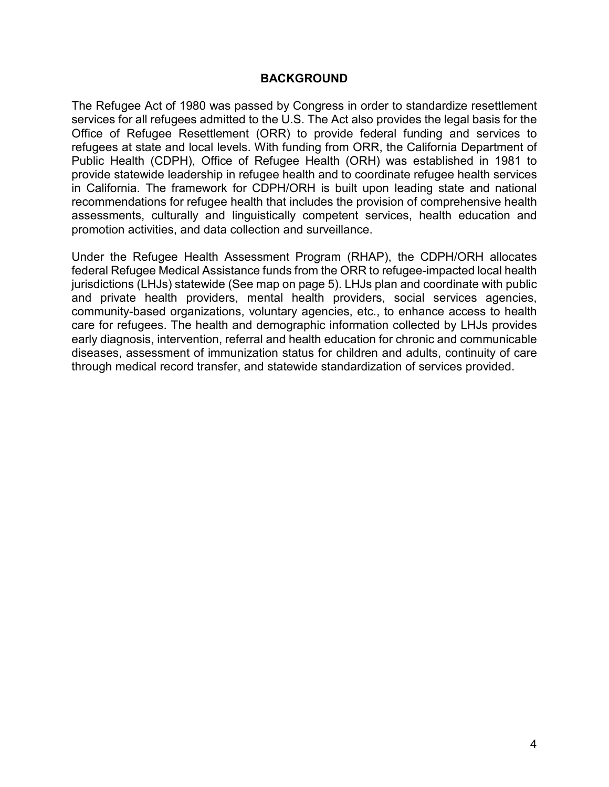#### **BACKGROUND**

The Refugee Act of 1980 was passed by Congress in order to standardize resettlement services for all refugees admitted to the U.S. The Act also provides the legal basis for the Office of Refugee Resettlement (ORR) to provide federal funding and services to refugees at state and local levels. With funding from ORR, the California Department of Public Health (CDPH), Office of Refugee Health (ORH) was established in 1981 to provide statewide leadership in refugee health and to coordinate refugee health services in California. The framework for CDPH/ORH is built upon leading state and national recommendations for refugee health that includes the provision of comprehensive health assessments, culturally and linguistically competent services, health education and promotion activities, and data collection and surveillance.

Under the Refugee Health Assessment Program (RHAP), the CDPH/ORH allocates federal Refugee Medical Assistance funds from the ORR to refugee-impacted local health jurisdictions (LHJs) statewide (See map on page 5). LHJs plan and coordinate with public and private health providers, mental health providers, social services agencies, community-based organizations, voluntary agencies, etc., to enhance access to health care for refugees. The health and demographic information collected by LHJs provides early diagnosis, intervention, referral and health education for chronic and communicable diseases, assessment of immunization status for children and adults, continuity of care through medical record transfer, and statewide standardization of services provided.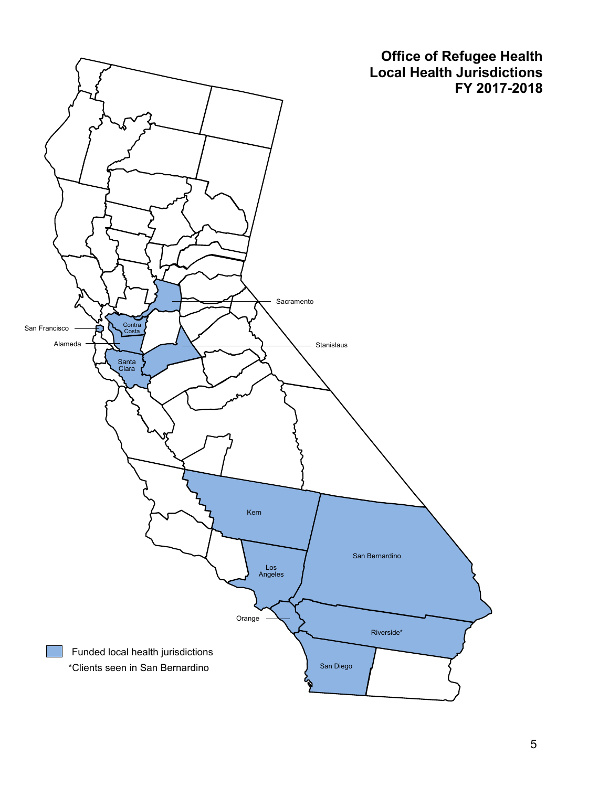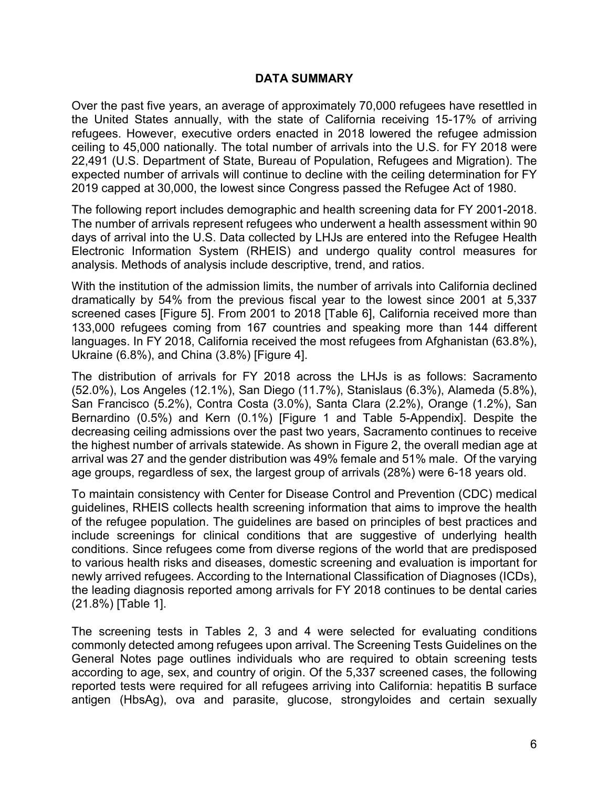#### **DATA SUMMARY**

Over the past five years, an average of approximately 70,000 refugees have resettled in the United States annually, with the state of California receiving 15-17% of arriving refugees. However, executive orders enacted in 2018 lowered the refugee admission ceiling to 45,000 nationally. The total number of arrivals into the U.S. for FY 2018 were 22,491 (U.S. Department of State, Bureau of Population, Refugees and Migration). The expected number of arrivals will continue to decline with the ceiling determination for FY 2019 capped at 30,000, the lowest since Congress passed the Refugee Act of 1980.

The following report includes demographic and health screening data for FY 2001-2018. The number of arrivals represent refugees who underwent a health assessment within 90 days of arrival into the U.S. Data collected by LHJs are entered into the Refugee Health Electronic Information System (RHEIS) and undergo quality control measures for analysis. Methods of analysis include descriptive, trend, and ratios.

With the institution of the admission limits, the number of arrivals into California declined dramatically by 54% from the previous fiscal year to the lowest since 2001 at 5,337 screened cases [Figure 5]. From 2001 to 2018 [Table 6], California received more than 133,000 refugees coming from 167 countries and speaking more than 144 different languages. In FY 2018, California received the most refugees from Afghanistan (63.8%), Ukraine (6.8%), and China (3.8%) [Figure 4].

The distribution of arrivals for FY 2018 across the LHJs is as follows: Sacramento (52.0%), Los Angeles (12.1%), San Diego (11.7%), Stanislaus (6.3%), Alameda (5.8%), San Francisco (5.2%), Contra Costa (3.0%), Santa Clara (2.2%), Orange (1.2%), San Bernardino (0.5%) and Kern (0.1%) [Figure 1 and Table 5-Appendix]. Despite the decreasing ceiling admissions over the past two years, Sacramento continues to receive the highest number of arrivals statewide. As shown in Figure 2, the overall median age at arrival was 27 and the gender distribution was 49% female and 51% male. Of the varying age groups, regardless of sex, the largest group of arrivals (28%) were 6-18 years old.

To maintain consistency with Center for Disease Control and Prevention (CDC) medical guidelines, RHEIS collects health screening information that aims to improve the health of the refugee population. The guidelines are based on principles of best practices and include screenings for clinical conditions that are suggestive of underlying health conditions. Since refugees come from diverse regions of the world that are predisposed to various health risks and diseases, domestic screening and evaluation is important for newly arrived refugees. According to the International Classification of Diagnoses (ICDs), the leading diagnosis reported among arrivals for FY 2018 continues to be dental caries (21.8%) [Table 1].

The screening tests in Tables 2, 3 and 4 were selected for evaluating conditions commonly detected among refugees upon arrival. The Screening Tests Guidelines on the General Notes page outlines individuals who are required to obtain screening tests according to age, sex, and country of origin. Of the 5,337 screened cases, the following reported tests were required for all refugees arriving into California: hepatitis B surface antigen (HbsAg), ova and parasite, glucose, strongyloides and certain sexually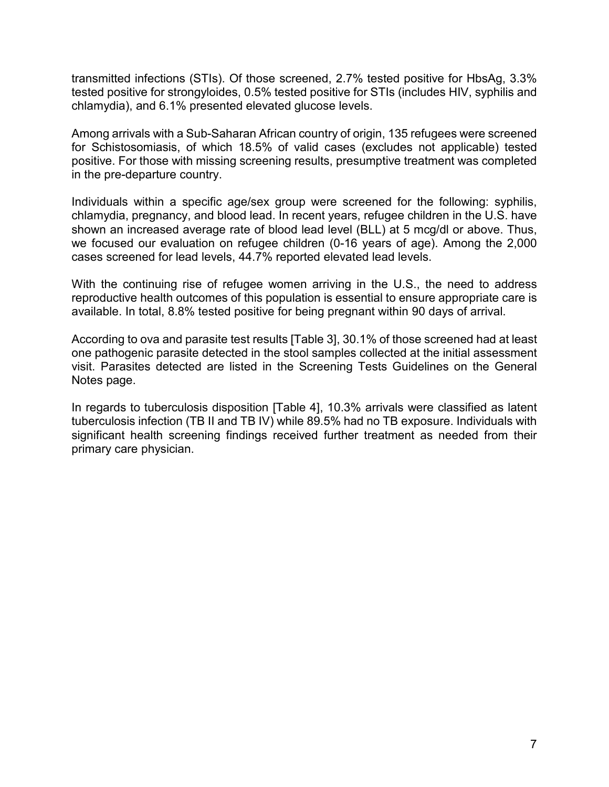transmitted infections (STIs). Of those screened, 2.7% tested positive for HbsAg, 3.3% tested positive for strongyloides, 0.5% tested positive for STIs (includes HIV, syphilis and chlamydia), and 6.1% presented elevated glucose levels.

Among arrivals with a Sub-Saharan African country of origin, 135 refugees were screened for Schistosomiasis, of which 18.5% of valid cases (excludes not applicable) tested positive. For those with missing screening results, presumptive treatment was completed in the pre-departure country.

Individuals within a specific age/sex group were screened for the following: syphilis, chlamydia, pregnancy, and blood lead. In recent years, refugee children in the U.S. have shown an increased average rate of blood lead level (BLL) at 5 mcg/dl or above. Thus, we focused our evaluation on refugee children (0-16 years of age). Among the 2,000 cases screened for lead levels, 44.7% reported elevated lead levels.

With the continuing rise of refugee women arriving in the U.S., the need to address reproductive health outcomes of this population is essential to ensure appropriate care is available. In total, 8.8% tested positive for being pregnant within 90 days of arrival.

According to ova and parasite test results [Table 3], 30.1% of those screened had at least one pathogenic parasite detected in the stool samples collected at the initial assessment visit. Parasites detected are listed in the Screening Tests Guidelines on the General Notes page.

In regards to tuberculosis disposition [Table 4], 10.3% arrivals were classified as latent tuberculosis infection (TB II and TB IV) while 89.5% had no TB exposure. Individuals with significant health screening findings received further treatment as needed from their primary care physician.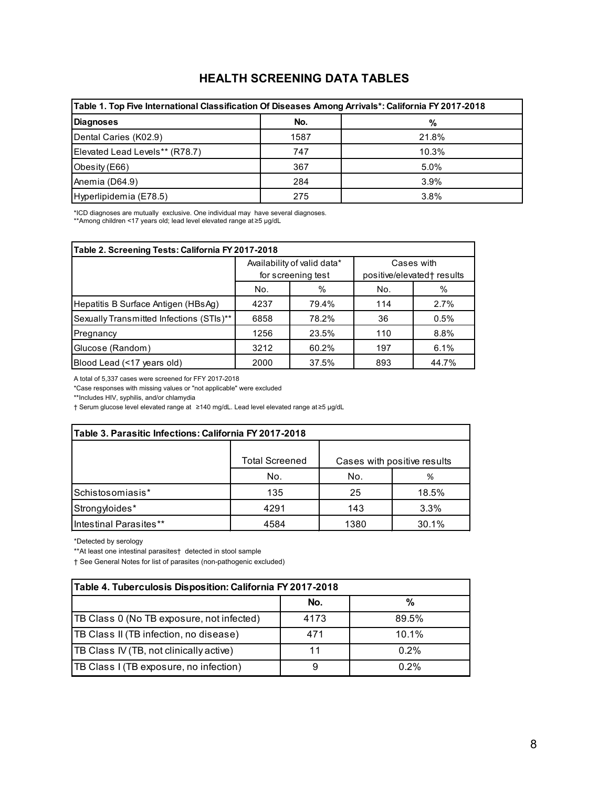## **HEALTH SCREENING DATA TABLES**

| Table 1. Top Five International Classification Of Diseases Among Arrivals*: California FY 2017-2018 |      |       |  |  |  |  |  |  |  |  |  |
|-----------------------------------------------------------------------------------------------------|------|-------|--|--|--|--|--|--|--|--|--|
| <b>Diagnoses</b>                                                                                    | No.  | %     |  |  |  |  |  |  |  |  |  |
| Dental Caries (K02.9)                                                                               | 1587 | 21.8% |  |  |  |  |  |  |  |  |  |
| Elevated Lead Levels** (R78.7)                                                                      | 747  | 10.3% |  |  |  |  |  |  |  |  |  |
| Obesity (E66)                                                                                       | 367  | 5.0%  |  |  |  |  |  |  |  |  |  |
| Anemia (D64.9)                                                                                      | 284  | 3.9%  |  |  |  |  |  |  |  |  |  |
| Hyperlipidemia (E78.5)                                                                              | 275  | 3.8%  |  |  |  |  |  |  |  |  |  |

\*ICD diagnoses are mutually exclusive. One individual may have several diagnoses.

\*\*Among children <17 years old; lead level elevated range at ≥5 µg/dL

| Table 2. Screening Tests: California FY 2017-2018 |      |                                                   |     |                                          |  |  |  |  |  |  |  |  |
|---------------------------------------------------|------|---------------------------------------------------|-----|------------------------------------------|--|--|--|--|--|--|--|--|
|                                                   |      | Availability of valid data*<br>for screening test |     | Cases with<br>positive/elevated† results |  |  |  |  |  |  |  |  |
|                                                   | No.  | %                                                 | No. | %                                        |  |  |  |  |  |  |  |  |
| Hepatitis B Surface Antigen (HBsAg)               | 4237 | 79.4%                                             | 114 | 2.7%                                     |  |  |  |  |  |  |  |  |
| Sexually Transmitted Infections (STIs)**          | 6858 | 78.2%                                             | 36  | 0.5%                                     |  |  |  |  |  |  |  |  |
| Pregnancy                                         | 1256 | 23.5%                                             | 110 | 8.8%                                     |  |  |  |  |  |  |  |  |
| Glucose (Random)                                  | 3212 | 60.2%                                             | 197 | 6.1%                                     |  |  |  |  |  |  |  |  |
| Blood Lead (<17 years old)                        | 2000 | 37.5%                                             | 893 | 44.7%                                    |  |  |  |  |  |  |  |  |

A total of 5,337 cases were screened for FFY 2017-2018

\*Case responses with missing values or "not applicable" were excluded

\*\*Includes HIV, syphilis, and/or chlamydia

† Serum glucose level elevated range at ≥140 mg/dL. Lead level elevated range at ≥5 µg/dL

| Table 3. Parasitic Infections: California FY 2017-2018 |                       |      |                             |  |  |  |  |  |  |  |  |  |
|--------------------------------------------------------|-----------------------|------|-----------------------------|--|--|--|--|--|--|--|--|--|
|                                                        | <b>Total Screened</b> |      | Cases with positive results |  |  |  |  |  |  |  |  |  |
| No.<br>No.<br>%                                        |                       |      |                             |  |  |  |  |  |  |  |  |  |
| Schistosomiasis*                                       | 135                   | 25   | 18.5%                       |  |  |  |  |  |  |  |  |  |
| Strongyloides*                                         | 4291                  | 143  | 3.3%                        |  |  |  |  |  |  |  |  |  |
| Intestinal Parasites**                                 | 4584                  | 1380 | 30.1%                       |  |  |  |  |  |  |  |  |  |

\*Detected by serology

\*\*At least one intestinal parasites† detected in stool sample

† See General Notes for list of parasites (non-pathogenic excluded)

| Table 4. Tuberculosis Disposition: California FY 2017-2018 |      |          |  |  |  |  |  |  |  |  |  |  |  |
|------------------------------------------------------------|------|----------|--|--|--|--|--|--|--|--|--|--|--|
| %<br>No.                                                   |      |          |  |  |  |  |  |  |  |  |  |  |  |
| TB Class 0 (No TB exposure, not infected)                  | 4173 | 89.5%    |  |  |  |  |  |  |  |  |  |  |  |
| <b>TB Class II (TB infection, no disease)</b>              | 471  | $10.1\%$ |  |  |  |  |  |  |  |  |  |  |  |
| <b>TB Class IV (TB, not clinically active)</b>             |      | $0.2\%$  |  |  |  |  |  |  |  |  |  |  |  |
| TB Class I (TB exposure, no infection)                     |      | $0.2\%$  |  |  |  |  |  |  |  |  |  |  |  |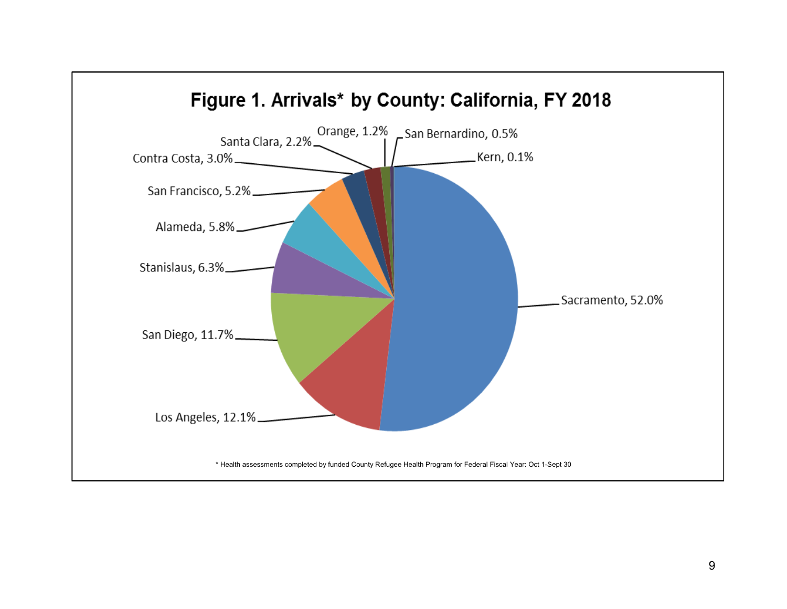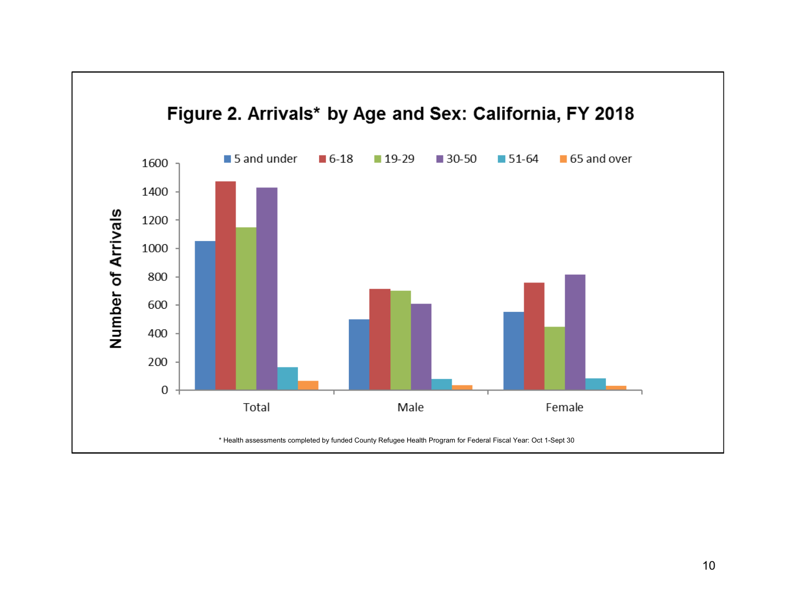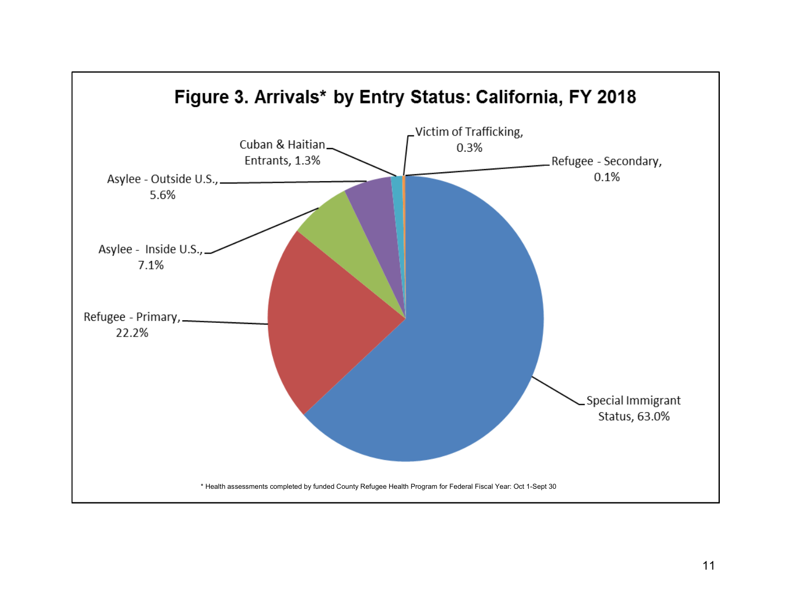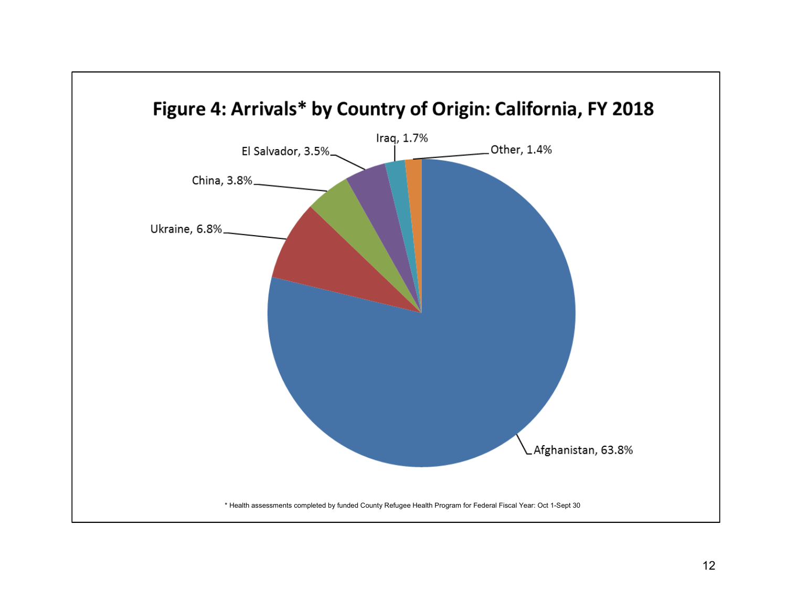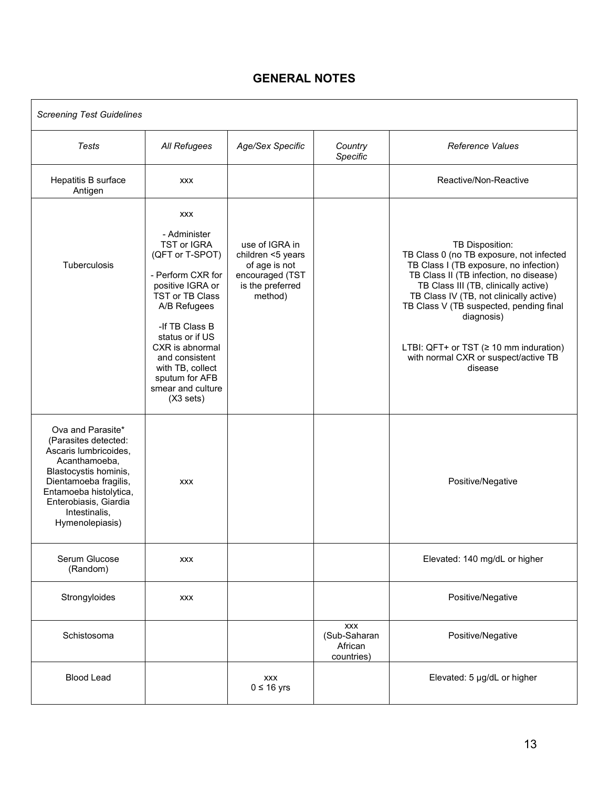## **GENERAL NOTES**

| <b>Screening Test Guidelines</b>                                                                                                                                                                                             |                                                                                                                                                                                                                                                                                                   |                                                                                                        |                                                     |                                                                                                                                                                                                                                                                                                                                                                                                |
|------------------------------------------------------------------------------------------------------------------------------------------------------------------------------------------------------------------------------|---------------------------------------------------------------------------------------------------------------------------------------------------------------------------------------------------------------------------------------------------------------------------------------------------|--------------------------------------------------------------------------------------------------------|-----------------------------------------------------|------------------------------------------------------------------------------------------------------------------------------------------------------------------------------------------------------------------------------------------------------------------------------------------------------------------------------------------------------------------------------------------------|
| Tests                                                                                                                                                                                                                        | All Refugees                                                                                                                                                                                                                                                                                      | Age/Sex Specific                                                                                       | Country<br>Specific                                 | <b>Reference Values</b>                                                                                                                                                                                                                                                                                                                                                                        |
| Hepatitis B surface<br>Antigen                                                                                                                                                                                               | <b>XXX</b>                                                                                                                                                                                                                                                                                        |                                                                                                        |                                                     | Reactive/Non-Reactive                                                                                                                                                                                                                                                                                                                                                                          |
| Tuberculosis                                                                                                                                                                                                                 | <b>XXX</b><br>- Administer<br><b>TST or IGRA</b><br>(QFT or T-SPOT)<br>- Perform CXR for<br>positive IGRA or<br>TST or TB Class<br>A/B Refugees<br>-If TB Class B<br>status or if US<br>CXR is abnormal<br>and consistent<br>with TB, collect<br>sputum for AFB<br>smear and culture<br>(X3 sets) | use of IGRA in<br>children <5 years<br>of age is not<br>encouraged (TST<br>is the preferred<br>method) |                                                     | TB Disposition:<br>TB Class 0 (no TB exposure, not infected<br>TB Class I (TB exposure, no infection)<br>TB Class II (TB infection, no disease)<br>TB Class III (TB, clinically active)<br>TB Class IV (TB, not clinically active)<br>TB Class V (TB suspected, pending final<br>diagnosis)<br>LTBI: QFT+ or TST ( $\geq$ 10 mm induration)<br>with normal CXR or suspect/active TB<br>disease |
| Ova and Parasite*<br>(Parasites detected:<br>Ascaris lumbricoides,<br>Acanthamoeba,<br>Blastocystis hominis,<br>Dientamoeba fragilis,<br>Entamoeba histolytica,<br>Enterobiasis, Giardia<br>Intestinalis,<br>Hymenolepiasis) | <b>XXX</b>                                                                                                                                                                                                                                                                                        |                                                                                                        |                                                     | Positive/Negative                                                                                                                                                                                                                                                                                                                                                                              |
| Serum Glucose<br>(Random)                                                                                                                                                                                                    | <b>XXX</b>                                                                                                                                                                                                                                                                                        |                                                                                                        |                                                     | Elevated: 140 mg/dL or higher                                                                                                                                                                                                                                                                                                                                                                  |
| Strongyloides                                                                                                                                                                                                                | <b>XXX</b>                                                                                                                                                                                                                                                                                        |                                                                                                        |                                                     | Positive/Negative                                                                                                                                                                                                                                                                                                                                                                              |
| Schistosoma                                                                                                                                                                                                                  |                                                                                                                                                                                                                                                                                                   |                                                                                                        | <b>XXX</b><br>(Sub-Saharan<br>African<br>countries) | Positive/Negative                                                                                                                                                                                                                                                                                                                                                                              |
| <b>Blood Lead</b>                                                                                                                                                                                                            |                                                                                                                                                                                                                                                                                                   | <b>XXX</b><br>$0 \leq 16$ yrs                                                                          |                                                     | Elevated: 5 µg/dL or higher                                                                                                                                                                                                                                                                                                                                                                    |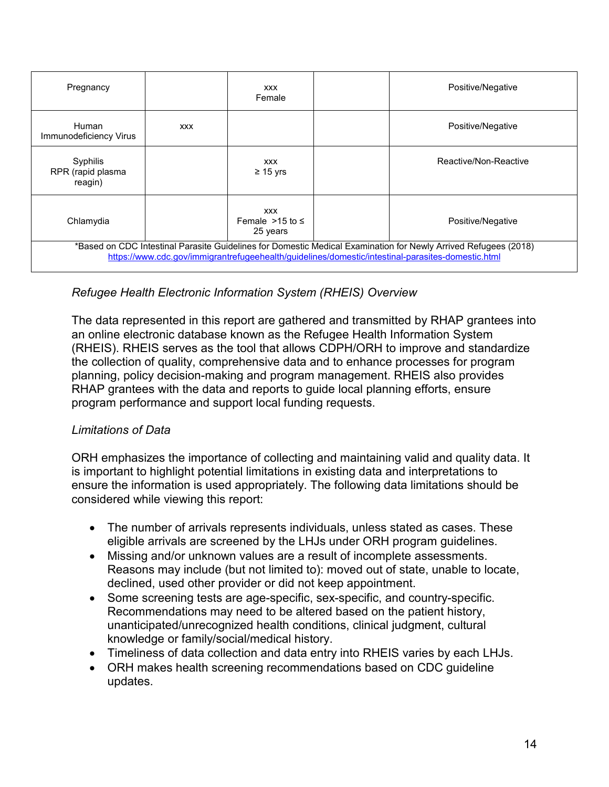| Pregnancy                                                                                                                                                                                                            |            | <b>XXX</b><br>Female                            |  | Positive/Negative     |  |  |  |  |  |  |
|----------------------------------------------------------------------------------------------------------------------------------------------------------------------------------------------------------------------|------------|-------------------------------------------------|--|-----------------------|--|--|--|--|--|--|
| Human<br>Immunodeficiency Virus                                                                                                                                                                                      | <b>XXX</b> |                                                 |  | Positive/Negative     |  |  |  |  |  |  |
| Syphilis<br>RPR (rapid plasma<br>reagin)                                                                                                                                                                             |            | <b>XXX</b><br>$\geq$ 15 yrs                     |  | Reactive/Non-Reactive |  |  |  |  |  |  |
| Chlamydia                                                                                                                                                                                                            |            | <b>XXX</b><br>Female $>15$ to $\le$<br>25 years |  | Positive/Negative     |  |  |  |  |  |  |
| *Based on CDC Intestinal Parasite Guidelines for Domestic Medical Examination for Newly Arrived Refugees (2018)<br>https://www.cdc.gov/immigrantrefugeehealth/guidelines/domestic/intestinal-parasites-domestic.html |            |                                                 |  |                       |  |  |  |  |  |  |

## *Refugee Health Electronic Information System (RHEIS) Overview*

The data represented in this report are gathered and transmitted by RHAP grantees into an online electronic database known as the Refugee Health Information System (RHEIS). RHEIS serves as the tool that allows CDPH/ORH to improve and standardize the collection of quality, comprehensive data and to enhance processes for program planning, policy decision-making and program management. RHEIS also provides RHAP grantees with the data and reports to guide local planning efforts, ensure program performance and support local funding requests.

### *Limitations of Data*

ORH emphasizes the importance of collecting and maintaining valid and quality data. It is important to highlight potential limitations in existing data and interpretations to ensure the information is used appropriately. The following data limitations should be considered while viewing this report:

- The number of arrivals represents individuals, unless stated as cases. These eligible arrivals are screened by the LHJs under ORH program guidelines.
- Missing and/or unknown values are a result of incomplete assessments. Reasons may include (but not limited to): moved out of state, unable to locate, declined, used other provider or did not keep appointment.
- Some screening tests are age-specific, sex-specific, and country-specific. Recommendations may need to be altered based on the patient history, unanticipated/unrecognized health conditions, clinical judgment, cultural knowledge or family/social/medical history.
- Timeliness of data collection and data entry into RHEIS varies by each LHJs.
- ORH makes health screening recommendations based on CDC guideline updates.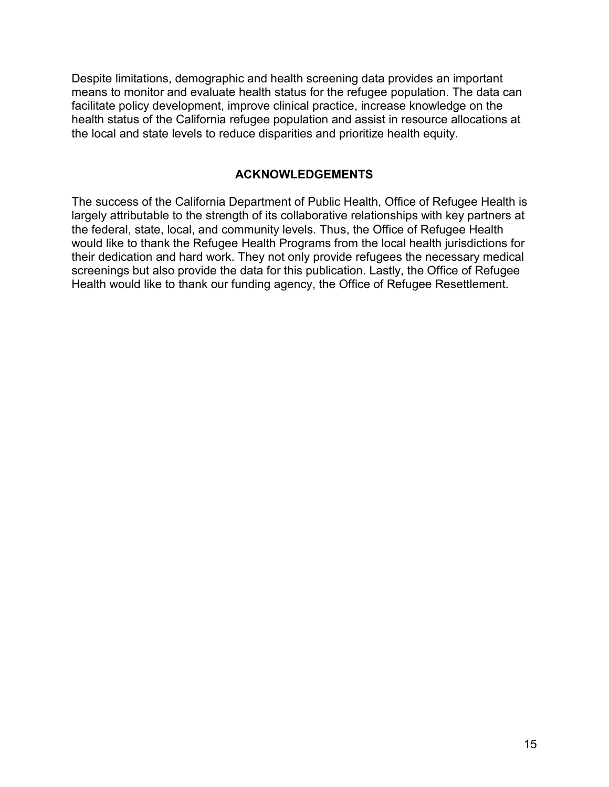Despite limitations, demographic and health screening data provides an important means to monitor and evaluate health status for the refugee population. The data can facilitate policy development, improve clinical practice, increase knowledge on the health status of the California refugee population and assist in resource allocations at the local and state levels to reduce disparities and prioritize health equity.

#### **ACKNOWLEDGEMENTS**

The success of the California Department of Public Health, Office of Refugee Health is largely attributable to the strength of its collaborative relationships with key partners at the federal, state, local, and community levels. Thus, the Office of Refugee Health would like to thank the Refugee Health Programs from the local health jurisdictions for their dedication and hard work. They not only provide refugees the necessary medical screenings but also provide the data for this publication. Lastly, the Office of Refugee Health would like to thank our funding agency, the Office of Refugee Resettlement.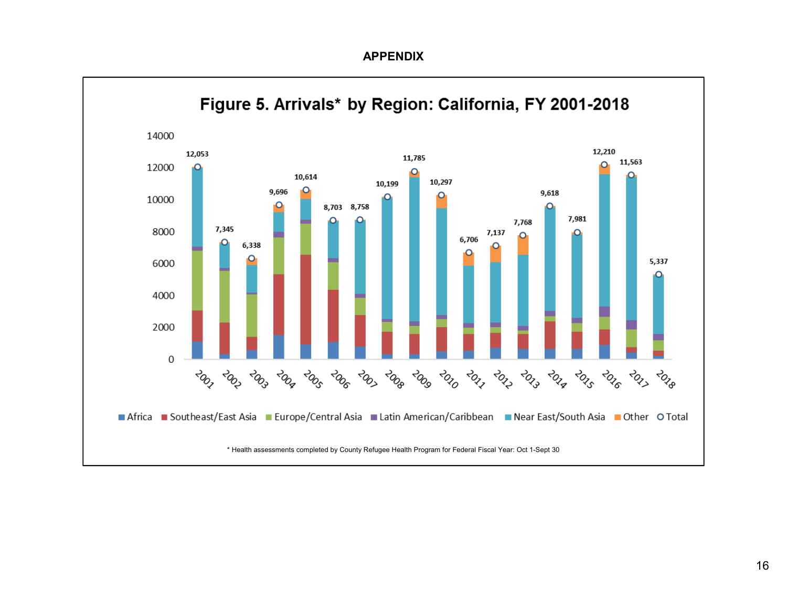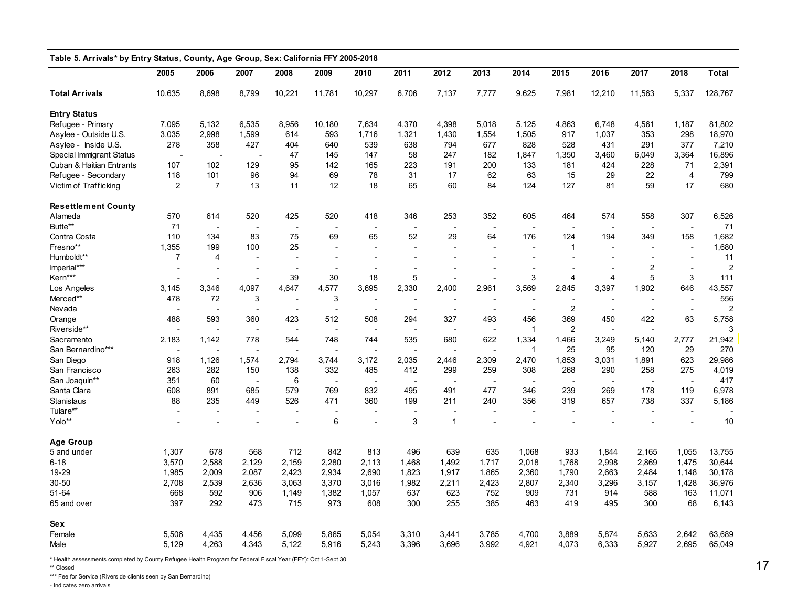| Table 5. Arrivals* by Entry Status, County, Age Group, Sex: California FFY 2005-2018 |                          |                          |                          |                          |                          |                          |                          |                          |                          |                          |                          |                          |                          |                          |         |
|--------------------------------------------------------------------------------------|--------------------------|--------------------------|--------------------------|--------------------------|--------------------------|--------------------------|--------------------------|--------------------------|--------------------------|--------------------------|--------------------------|--------------------------|--------------------------|--------------------------|---------|
|                                                                                      | 2005                     | 2006                     | 2007                     | 2008                     | 2009                     | 2010                     | 2011                     | 2012                     | 2013                     | 2014                     | 2015                     | 2016                     | 2017                     | 2018                     | Total   |
| <b>Total Arrivals</b>                                                                | 10,635                   | 8,698                    | 8,799                    | 10,221                   | 11,781                   | 10,297                   | 6,706                    | 7,137                    | 7,777                    | 9,625                    | 7,981                    | 12,210                   | 11,563                   | 5,337                    | 128,767 |
| <b>Entry Status</b>                                                                  |                          |                          |                          |                          |                          |                          |                          |                          |                          |                          |                          |                          |                          |                          |         |
| Refugee - Primary                                                                    | 7,095                    | 5,132                    | 6,535                    | 8,956                    | 10,180                   | 7,634                    | 4,370                    | 4,398                    | 5,018                    | 5,125                    | 4,863                    | 6,748                    | 4,561                    | 1,187                    | 81,802  |
| Asylee - Outside U.S.                                                                | 3,035                    | 2,998                    | 1,599                    | 614                      | 593                      | 1,716                    | 1,321                    | 1,430                    | 1,554                    | 1,505                    | 917                      | 1,037                    | 353                      | 298                      | 18,970  |
| Asylee - Inside U.S.                                                                 | 278                      | 358                      | 427                      | 404                      | 640                      | 539                      | 638                      | 794                      | 677                      | 828                      | 528                      | 431                      | 291                      | 377                      | 7,210   |
| Special Immigrant Status                                                             |                          |                          |                          | 47                       | 145                      | 147                      | 58                       | 247                      | 182                      | 1,847                    | 1,350                    | 3,460                    | 6,049                    | 3,364                    | 16,896  |
| Cuban & Haitian Entrants                                                             | 107                      | 102                      | 129                      | 95                       | 142                      | 165                      | 223                      | 191                      | 200                      | 133                      | 181                      | 424                      | 228                      | 71                       | 2,391   |
| Refugee - Secondary                                                                  | 118                      | 101                      | 96                       | 94                       | 69                       | 78                       | 31                       | 17                       | 62                       | 63                       | 15                       | 29                       | 22                       | $\overline{4}$           | 799     |
| Victim of Trafficking                                                                | $\overline{2}$           | $\overline{7}$           | 13                       | 11                       | 12                       | 18                       | 65                       | 60                       | 84                       | 124                      | 127                      | 81                       | 59                       | 17                       | 680     |
| <b>Resettlement County</b>                                                           |                          |                          |                          |                          |                          |                          |                          |                          |                          |                          |                          |                          |                          |                          |         |
| Alameda                                                                              | 570                      | 614                      | 520                      | 425                      | 520                      | 418                      | 346                      | 253                      | 352                      | 605                      | 464                      | 574                      | 558                      | 307                      | 6,526   |
| Butte**                                                                              | 71                       |                          |                          | $\overline{a}$           |                          | $\overline{\phantom{a}}$ |                          |                          |                          |                          | Ĭ.                       |                          | $\overline{\phantom{a}}$ | $\overline{\phantom{a}}$ | 71      |
| Contra Costa                                                                         | 110                      | 134                      | 83                       | 75                       | 69                       | 65                       | 52                       | 29                       | 64                       | 176                      | 124                      | 194                      | 349                      | 158                      | 1,682   |
| Fresno**                                                                             | 1,355                    | 199                      | 100                      | 25                       | $\overline{a}$           | $\overline{a}$           |                          |                          |                          | $\overline{\phantom{a}}$ | $\mathbf 1$              |                          | $\overline{a}$           |                          | 1,680   |
| Humboldt**                                                                           | $\overline{7}$           | 4                        |                          | $\overline{a}$           | $\overline{\phantom{a}}$ | $\overline{a}$           |                          |                          |                          | $\overline{\phantom{a}}$ | $\overline{\phantom{a}}$ |                          | $\overline{\phantom{a}}$ |                          | 11      |
| Imperial***                                                                          | $\overline{\phantom{a}}$ | $\overline{a}$           | $\overline{\phantom{a}}$ | $\overline{a}$           | $\blacksquare$           | $\overline{\phantom{a}}$ |                          |                          |                          | $\overline{\phantom{a}}$ | $\overline{a}$           | $\overline{a}$           | 2                        | $\blacksquare$           | 2       |
| Kern***                                                                              | $\sim$                   |                          | $\overline{a}$           | 39                       | 30                       | 18                       | 5                        |                          |                          | 3                        | $\overline{4}$           | $\overline{4}$           | 5                        | 3                        | 111     |
| Los Angeles                                                                          | 3,145                    | 3,346                    | 4,097                    | 4,647                    | 4,577                    | 3,695                    | 2,330                    | 2,400                    | 2,961                    | 3,569                    | 2,845                    | 3,397                    | 1,902                    | 646                      | 43,557  |
| Merced**                                                                             | 478                      | 72                       | 3                        | $\overline{a}$           | 3                        | $\blacksquare$           |                          |                          |                          |                          |                          |                          | $\overline{\phantom{a}}$ |                          | 556     |
| Nevada                                                                               |                          | $\blacksquare$           | $\overline{\phantom{a}}$ |                          | $\overline{\phantom{a}}$ | $\overline{\phantom{a}}$ | $\overline{\phantom{a}}$ | $\blacksquare$           | $\blacksquare$           | $\overline{\phantom{a}}$ | $\overline{c}$           | $\overline{\phantom{a}}$ | $\blacksquare$           | $\blacksquare$           | 2       |
| Orange                                                                               | 488                      | 593                      | 360                      | 423                      | 512                      | 508                      | 294                      | 327                      | 493                      | 456                      | 369                      | 450                      | 422                      | 63                       | 5,758   |
| Riverside**                                                                          |                          |                          | $\overline{\phantom{a}}$ |                          | $\sim$                   | $\overline{\phantom{a}}$ |                          |                          | $\overline{a}$           | $\mathbf{1}$             | $\overline{2}$           |                          | $\overline{a}$           |                          | 3       |
| Sacramento                                                                           | 2,183                    | 1,142                    | 778                      | 544                      | 748                      | 744                      | 535                      | 680                      | 622                      | 1,334                    | 1,466                    | 3,249                    | 5,140                    | 2,777                    | 21,942  |
| San Bernardino***                                                                    | $\overline{\phantom{a}}$ | $\overline{\phantom{a}}$ |                          |                          | $\blacksquare$           | $\overline{\phantom{a}}$ | $\blacksquare$           |                          | $\overline{a}$           | $\mathbf{1}$             | 25                       | 95                       | 120                      | 29                       | 270     |
| San Diego                                                                            | 918                      | 1,126                    | 1,574                    | 2,794                    | 3,744                    | 3,172                    | 2,035                    | 2,446                    | 2,309                    | 2,470                    | 1,853                    | 3,031                    | 1,891                    | 623                      | 29,986  |
| San Francisco                                                                        | 263                      | 282                      | 150                      | 138                      | 332                      | 485                      | 412                      | 299                      | 259                      | 308                      | 268                      | 290                      | 258                      | 275                      | 4,019   |
| San Joaquin**                                                                        | 351                      | 60                       | $\overline{\phantom{a}}$ | 6                        | $\overline{a}$           | $\overline{\phantom{a}}$ | $\overline{\phantom{a}}$ | $\overline{\phantom{a}}$ | $\overline{\phantom{a}}$ | $\overline{\phantom{a}}$ | $\overline{a}$           | $\overline{a}$           | $\overline{a}$           | $\overline{\phantom{a}}$ | 417     |
| Santa Clara                                                                          | 608                      | 891                      | 685                      | 579                      | 769                      | 832                      | 495                      | 491                      | 477                      | 346                      | 239                      | 269                      | 178                      | 119                      | 6,978   |
| Stanislaus                                                                           | 88                       | 235                      | 449                      | 526                      | 471                      | 360                      | 199                      | 211                      | 240                      | 356                      | 319                      | 657                      | 738                      | 337                      | 5,186   |
| Tulare**                                                                             |                          | $\overline{\phantom{a}}$ | $\overline{\phantom{a}}$ |                          | $\overline{\phantom{a}}$ |                          | $\blacksquare$           |                          |                          | $\overline{\phantom{a}}$ | Ĭ.                       | $\blacksquare$           | $\overline{a}$           |                          |         |
| Yolo**                                                                               |                          | $\overline{\phantom{a}}$ | $\overline{a}$           | $\overline{\phantom{a}}$ | 6                        | $\overline{\phantom{a}}$ | 3                        | $\mathbf{1}$             | $\overline{a}$           | $\overline{\phantom{a}}$ |                          |                          |                          |                          | 10      |
| <b>Age Group</b>                                                                     |                          |                          |                          |                          |                          |                          |                          |                          |                          |                          |                          |                          |                          |                          |         |
| 5 and under                                                                          | 1,307                    | 678                      | 568                      | 712                      | 842                      | 813                      | 496                      | 639                      | 635                      | 1,068                    | 933                      | 1,844                    | 2,165                    | 1,055                    | 13,755  |
| $6 - 18$                                                                             | 3,570                    | 2,588                    | 2,129                    | 2,159                    | 2,280                    | 2,113                    | 1,468                    | 1,492                    | 1,717                    | 2,018                    | 1,768                    | 2,998                    | 2,869                    | 1,475                    | 30,644  |
| 19-29                                                                                | 1,985                    | 2,009                    | 2,087                    | 2,423                    | 2,934                    | 2,690                    | 1,823                    | 1,917                    | 1,865                    | 2,360                    | 1,790                    | 2,663                    | 2,484                    | 1,148                    | 30,178  |
| 30-50                                                                                | 2,708                    | 2,539                    | 2,636                    | 3,063                    | 3,370                    | 3,016                    | 1,982                    | 2,211                    | 2,423                    | 2,807                    | 2,340                    | 3,296                    | 3,157                    | 1,428                    | 36,976  |
| 51-64                                                                                | 668                      | 592                      | 906                      | 1,149                    | 1,382                    | 1,057                    | 637                      | 623                      | 752                      | 909                      | 731                      | 914                      | 588                      | 163                      | 11,071  |
| 65 and over                                                                          | 397                      | 292                      | 473                      | 715                      | 973                      | 608                      | 300                      | 255                      | 385                      | 463                      | 419                      | 495                      | 300                      | 68                       | 6,143   |
| <b>Sex</b>                                                                           |                          |                          |                          |                          |                          |                          |                          |                          |                          |                          |                          |                          |                          |                          |         |
| Female                                                                               | 5,506                    | 4,435                    | 4,456                    | 5,099                    | 5,865                    | 5,054                    | 3,310                    | 3,441                    | 3,785                    | 4,700                    | 3,889                    | 5,874                    | 5,633                    | 2,642                    | 63,689  |
| Male                                                                                 | 5,129                    | 4,263                    | 4,343                    | 5,122                    | 5,916                    | 5,243                    | 3,396                    | 3,696                    | 3,992                    | 4,921                    | 4,073                    | 6,333                    | 5,927                    | 2,695                    | 65,049  |

\* Health assessments completed by County Refugee Health Program for Federal Fiscal Year (FFY): Oct 1-Sept 30

\*\* Closed

\*\*\* Fee for Service (Riverside clients seen by San Bernardino)

- Indicates zero arrivals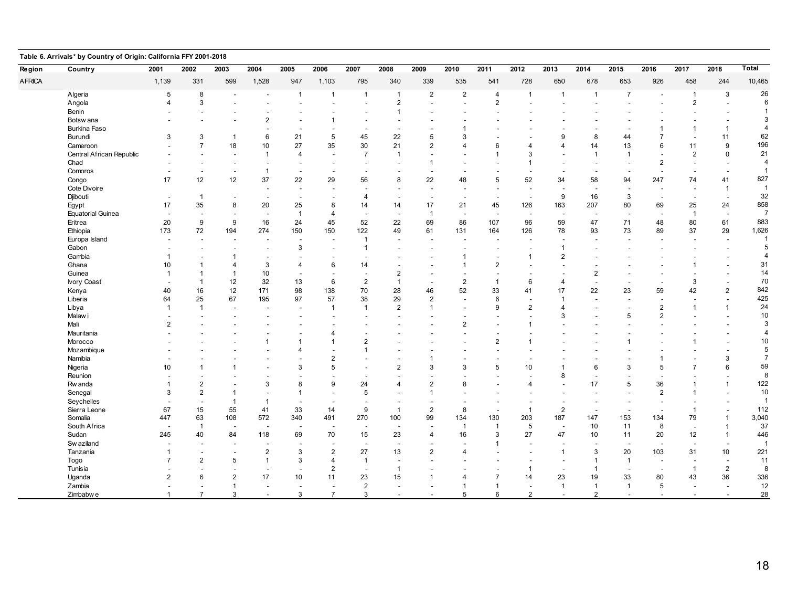| Region        | Country                  | 2001                     | 2002                     | 2003                     | 2004                     | 2005                     | 2006           | 2007                     | 2008                     | 2009           | 2010                     | 2011           | 2012                     | 2013                     | 2014                     | 2015                     | 2016                     | 2017                     | 2018                     | Total          |
|---------------|--------------------------|--------------------------|--------------------------|--------------------------|--------------------------|--------------------------|----------------|--------------------------|--------------------------|----------------|--------------------------|----------------|--------------------------|--------------------------|--------------------------|--------------------------|--------------------------|--------------------------|--------------------------|----------------|
| <b>AFRICA</b> |                          | 1,139                    | 331                      | 599                      | 1,528                    | 947                      | 1,103          | 795                      | 340                      | 339            | 535                      | 541            | 728                      | 650                      | 678                      | 653                      | 926                      | 458                      | 244                      | 10,465         |
|               | Algeria                  | 5                        | 8                        | $\sim$                   |                          | $\mathbf{1}$             | $\mathbf{1}$   | $\mathbf{1}$             | $\overline{1}$           | $\overline{2}$ | $\overline{2}$           | $\overline{4}$ | $\overline{1}$           | $\overline{1}$           | $\overline{1}$           | $\overline{7}$           | $\sim$                   | $\overline{1}$           | 3                        | 26             |
|               | Angola                   | 4                        | 3                        |                          |                          |                          |                |                          | $\overline{2}$           |                | $\overline{a}$           | $\overline{2}$ |                          |                          |                          |                          |                          | $\overline{2}$           |                          | 6              |
|               | Benin                    |                          |                          |                          |                          |                          |                |                          |                          |                |                          |                |                          |                          |                          |                          |                          |                          |                          | $\overline{1}$ |
|               | Botsw ana                |                          |                          |                          | 2                        |                          |                |                          |                          |                |                          |                |                          |                          |                          |                          |                          |                          |                          | 3              |
|               | Burkina Faso             |                          |                          |                          |                          |                          |                |                          |                          |                |                          |                |                          |                          |                          |                          |                          | -1                       | -1                       | $\overline{4}$ |
|               | Burundi                  | 3                        | 3                        | $\overline{1}$           | 6                        | 21                       | 5              | 45                       | 22                       | 5              |                          |                |                          | g                        | 8                        | 44                       | $\overline{7}$           |                          | 11                       | 62             |
|               | Cameroon                 |                          | $\overline{7}$           | 18                       | 10                       | 27                       | 35             | 30                       | 21                       | $\overline{2}$ | $\mathbf 4$              | 6              | 4                        | $\overline{4}$           | 14                       | 13                       | 6                        | 11                       | 9                        | 196            |
|               | Central African Republic |                          |                          |                          | $\overline{1}$           | $\overline{4}$           |                | $\overline{7}$           | 1                        |                |                          | $\overline{1}$ | 3                        |                          |                          | $\overline{1}$           | $\overline{\phantom{a}}$ | $\overline{2}$           | 0                        | 21             |
|               | Chad                     |                          |                          |                          |                          |                          |                |                          |                          | $\overline{1}$ |                          |                |                          |                          |                          |                          | $\overline{2}$           |                          |                          | $\overline{4}$ |
|               | Comoros                  |                          |                          | $\overline{\phantom{a}}$ | $\overline{1}$           | $\overline{\phantom{a}}$ |                |                          |                          |                |                          |                |                          |                          |                          |                          | $\overline{\phantom{a}}$ |                          |                          | $\overline{1}$ |
|               | Congo                    | 17                       | 12                       | 12                       | 37                       | 22                       | 29             | 56                       | 8                        | 22             | 48                       | 5              | 52                       | 34                       | 58                       | 94                       | 247                      | 74                       | 41                       | 827            |
|               | Cote Divoire             |                          |                          |                          |                          |                          |                |                          |                          |                | $\overline{\phantom{a}}$ |                |                          | $\overline{\phantom{a}}$ |                          | ÷                        |                          |                          | $\overline{1}$           | $\overline{1}$ |
|               | Djibouti                 | $\blacksquare$           | $\overline{1}$           |                          |                          |                          |                | $\overline{4}$           |                          |                | $\overline{\phantom{a}}$ |                |                          | 9                        | 16                       | 3                        | $\overline{\phantom{a}}$ |                          | $\overline{\phantom{a}}$ | 32             |
|               | Egypt                    | 17                       | 35                       | 8                        | 20                       | 25                       | 8              | 14                       | 14                       | 17             | 21                       | 45             | 126                      | 163                      | 207                      | 80                       | 69                       | 25                       | 24                       | 858            |
|               | <b>Equatorial Guinea</b> | $\overline{\phantom{a}}$ | $\overline{\phantom{a}}$ |                          | $\overline{\phantom{a}}$ | $\overline{1}$           | 4              |                          |                          | $\mathbf{1}$   | $\overline{\phantom{a}}$ | $\blacksquare$ | $\overline{\phantom{a}}$ | $\overline{\phantom{a}}$ |                          | $\overline{\phantom{a}}$ | $\overline{\phantom{a}}$ | $\overline{1}$           | $\overline{\phantom{a}}$ | $\overline{7}$ |
|               | Eritrea                  | 20                       | 9                        | 9                        | 16                       | 24                       | 45             | 52                       | 22                       | 69             | 86                       | 107            | 96                       | 59                       | 47                       | 71                       | 48                       | 80                       | 61                       | 883            |
|               | Ethiopia                 | 173                      | 72                       | 194                      | 274                      | 150                      | 150            | 122                      | 49                       | 61             | 131                      | 164            | 126                      | 78                       | 93                       | 73                       | 89                       | 37                       | 29                       | 1,626          |
|               | Europa Island            |                          |                          |                          |                          |                          |                | $\mathbf{1}$             |                          |                |                          |                |                          |                          |                          |                          |                          |                          |                          | $\overline{1}$ |
|               | Gabon                    |                          | $\overline{\phantom{0}}$ |                          |                          | 3                        |                | $\mathbf{1}$             |                          |                |                          |                |                          | $\overline{1}$           |                          |                          |                          |                          |                          | $\sqrt{5}$     |
|               | Gambia                   |                          |                          |                          |                          |                          |                |                          |                          |                |                          |                |                          | $\overline{2}$           |                          |                          |                          |                          |                          | $\overline{4}$ |
|               | Ghana                    | 10                       | 1                        | 4                        | 3                        | 4                        | 6              | 14                       |                          |                | -1                       | $\overline{2}$ |                          |                          |                          |                          |                          | 1                        |                          | 31             |
|               | Guinea                   | 1                        | 1                        | $\mathbf 1$              | 10                       | $\overline{\phantom{a}}$ |                |                          | $\overline{2}$           |                | $\overline{\phantom{a}}$ |                |                          |                          | 2                        |                          |                          |                          |                          | 14             |
|               | <b>Ivory Coast</b>       |                          | $\mathbf{1}$             | 12                       | 32                       | 13                       | 6              | $\overline{2}$           | $\overline{1}$           | $\overline{a}$ | $\overline{2}$           | $\overline{1}$ | 6                        | $\overline{4}$           |                          |                          | $\sim$                   | 3                        |                          | 70             |
|               |                          | 40                       | 16                       | 12                       | 171                      | 98                       | 138            | 70                       | 28                       | 46             | 52                       | 33             | 41                       | 17                       | 22                       | 23                       | 59                       | 42                       | $\overline{2}$           | 842            |
|               | Kenya<br>Liberia         | 64                       | 25                       | 67                       | 195                      | 97                       | 57             | 38                       | 29                       | 2              |                          | 6              |                          | $\overline{1}$           |                          |                          |                          |                          |                          | 425            |
|               |                          |                          | $\overline{1}$           |                          |                          |                          | $\mathbf{1}$   | $\mathbf{1}$             | $\overline{2}$           | $\overline{1}$ | $\overline{\phantom{a}}$ | 9              | $\overline{2}$           | $\boldsymbol{\Lambda}$   |                          |                          | $\overline{2}$           | -1                       | -1                       | 24             |
|               | Libya                    |                          |                          |                          |                          |                          |                |                          |                          |                |                          |                |                          | 3                        |                          | 5                        | $\overline{2}$           |                          |                          | 10             |
|               | Malaw i                  |                          |                          |                          |                          |                          |                |                          |                          |                |                          |                |                          |                          |                          |                          |                          |                          |                          | 3              |
|               | Mali                     | $\overline{2}$           |                          |                          |                          |                          |                |                          |                          |                | 2                        |                |                          |                          |                          |                          | $\sim$                   |                          |                          |                |
|               | Mauritania               |                          |                          |                          |                          |                          |                |                          |                          |                |                          |                |                          |                          |                          |                          |                          |                          |                          | $\overline{4}$ |
|               | Morocco                  |                          |                          |                          |                          | 1                        | $\mathbf 1$    | $\overline{2}$           |                          |                |                          | $\overline{2}$ |                          |                          |                          |                          |                          | 1                        |                          | 10             |
|               | Mozambique               |                          |                          |                          |                          | Δ                        |                | $\overline{1}$           |                          |                |                          |                |                          |                          |                          |                          |                          |                          |                          | 5              |
|               | Namibia                  |                          |                          |                          |                          |                          | $\overline{2}$ |                          |                          |                |                          |                |                          |                          |                          |                          |                          |                          | 3                        | $\overline{7}$ |
|               | Nigeria                  | 10                       |                          |                          |                          | 3                        | 5              |                          | $\overline{2}$           | 3              | 3                        | 5              | 10                       |                          | 6                        | 3                        | 5                        |                          | 6                        | 59             |
|               | Reunion                  |                          |                          |                          |                          |                          |                |                          |                          |                |                          |                |                          | 8                        |                          |                          | $\overline{\phantom{a}}$ |                          |                          | 8              |
|               | Rw anda                  |                          | $\overline{c}$           |                          | 3                        | 8                        | 9              | 24                       |                          | $\overline{2}$ | 8                        |                | Δ                        |                          | 17                       | 5                        | 36                       |                          | 1                        | 122            |
|               | Senegal                  | 3                        | $\overline{2}$           |                          |                          | $\overline{1}$           |                | 5                        |                          | $\overline{1}$ |                          |                |                          |                          |                          |                          | $\overline{2}$           |                          |                          | 10             |
|               | Seychelles               |                          | $\overline{\phantom{a}}$ | $\mathbf 1$              | $\overline{1}$           |                          |                |                          |                          |                |                          |                |                          | $\overline{\phantom{a}}$ |                          |                          | $\overline{\phantom{a}}$ |                          |                          | $\overline{1}$ |
|               | Sierra Leone             | 67                       | 15                       | 55                       | 41                       | 33                       | 14             | 9                        | $\overline{1}$           | $\overline{2}$ | 8                        | $\blacksquare$ | $\overline{1}$           | $\overline{2}$           | $\overline{\phantom{a}}$ | ÷                        | $\overline{\phantom{a}}$ | -1                       |                          | 112            |
|               | Somalia                  | 447                      | 63                       | 108                      | 572                      | 340                      | 491            | 270                      | 100                      | 99             | 134                      | 130            | 203                      | 187                      | 147                      | 153                      | 134                      | 79                       | $\overline{1}$           | 3,040          |
|               | South Africa             |                          | $\overline{1}$           | $\overline{\phantom{a}}$ | $\overline{\phantom{a}}$ | <b>.</b>                 |                | $\overline{\phantom{a}}$ |                          |                | $\overline{1}$           | $\mathbf{1}$   | 5                        | $\overline{\phantom{a}}$ | 10                       | 11                       | 8                        |                          | $\overline{1}$           | 37             |
|               | Sudan                    | 245                      | 40                       | 84                       | 118                      | 69                       | 70             | 15                       | 23                       | $\overline{4}$ | 16                       | 3              | 27                       | 47                       | 10                       | 11                       | 20                       | 12                       | -1                       | 446            |
|               | Sw aziland               |                          | $\overline{\phantom{a}}$ |                          |                          |                          |                | $\overline{\phantom{a}}$ | $\overline{\phantom{a}}$ |                | $\overline{\phantom{a}}$ | $\overline{1}$ | $\overline{\phantom{a}}$ | $\overline{\phantom{a}}$ |                          | $\overline{\phantom{a}}$ | $\overline{\phantom{a}}$ | $\overline{\phantom{a}}$ | $\overline{\phantom{a}}$ | $\overline{1}$ |
|               | Tanzania                 |                          |                          |                          | $\overline{2}$           | 3                        | $\overline{2}$ | 27                       | 13                       | $\overline{2}$ | 4                        |                |                          | $\overline{1}$           | 3                        | 20                       | 103                      | 31                       | 10                       | 221            |
|               | Togo                     |                          | $\overline{2}$           | 5                        | $\overline{1}$           | 3                        |                | $\mathbf{1}$             |                          |                |                          |                |                          |                          |                          | $\overline{1}$           | $\overline{\phantom{0}}$ |                          |                          | 11             |
|               | Tunisia                  |                          |                          |                          |                          |                          | $\overline{2}$ |                          | $\overline{\mathbf{1}}$  |                |                          |                |                          | $\overline{\phantom{a}}$ |                          |                          | $\overline{\phantom{a}}$ | -1                       | $\overline{2}$           | 8              |
|               | Uganda                   | 2                        | 6                        | 2                        | 17                       | 10                       | 11             | 23                       | 15                       |                |                          | $\overline{7}$ | 14                       | 23                       | 19                       | 33                       | 80                       | 43                       | 36                       | 336            |
|               | Zambia                   |                          |                          | 1                        | $\overline{\phantom{a}}$ | $\overline{\phantom{a}}$ |                | $\overline{2}$           | $\overline{\phantom{a}}$ |                |                          | $\mathbf{1}$   |                          | $\mathbf{1}$             | $\overline{1}$           | $\overline{1}$           | 5                        | $\overline{\phantom{a}}$ | $\overline{\phantom{a}}$ | 12             |
|               | Zimbabwe                 |                          | $\overline{7}$           | 3                        | $\overline{\phantom{a}}$ | 3                        | $\overline{7}$ | 3                        | $\overline{\phantom{a}}$ |                | 5                        | 6              | $\overline{2}$           | $\overline{\phantom{a}}$ | $\overline{2}$           | $\overline{\phantom{a}}$ | $\overline{\phantom{a}}$ | $\overline{\phantom{a}}$ | $\overline{\phantom{a}}$ | 28             |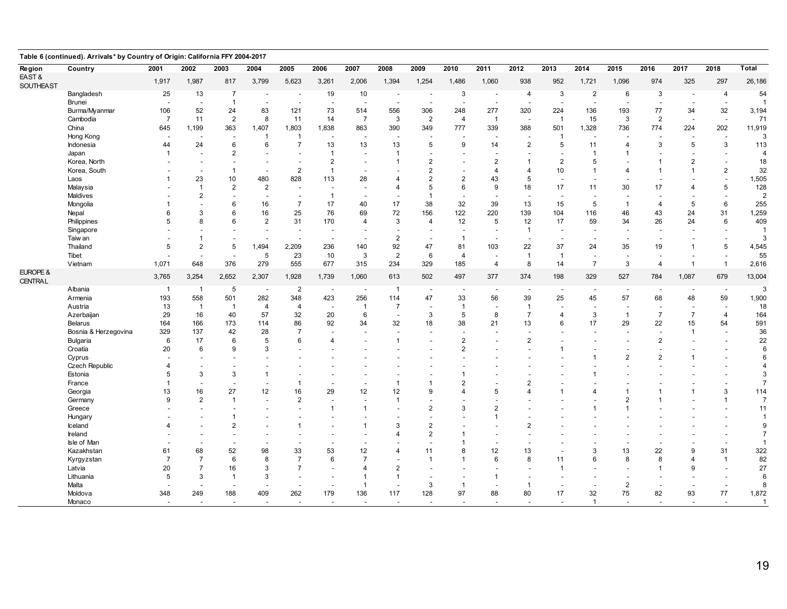| Table 6 (continued). Arrivals* by Country of Origin: California FFY 2004-2017 |                       |                |                          |                          |                          |                          |                          |                          |                          |                          |                               |                          |                          |                          |                |                          |                                            |                |                          |                       |
|-------------------------------------------------------------------------------|-----------------------|----------------|--------------------------|--------------------------|--------------------------|--------------------------|--------------------------|--------------------------|--------------------------|--------------------------|-------------------------------|--------------------------|--------------------------|--------------------------|----------------|--------------------------|--------------------------------------------|----------------|--------------------------|-----------------------|
| <b>Region</b>                                                                 | Country               | 2001           | 2002                     | 2003                     | 2004                     | 2005                     | 2006                     | 2007                     | 2008                     | 2009                     | 2010                          | 2011                     | 2012                     | 2013                     | 2014           | 2015                     | 2016                                       | 2017           | 2018                     | <b>Total</b>          |
| EAST&                                                                         |                       | 1,917          |                          | 817                      |                          |                          |                          | 2,006                    |                          |                          |                               |                          |                          | 952                      |                |                          | 974                                        | 325            | 297                      | 26,186                |
| SOUTHEAST                                                                     |                       |                | 1,987                    |                          | 3,799                    | 5,623                    | 3,261                    |                          | 1,394                    | 1,254                    | 1,486                         | 1,060                    | 938                      |                          | 1,721          | 1,096                    |                                            |                |                          |                       |
|                                                                               | Bangladesh            | 25             | 13                       | $\overline{7}$           | $\overline{\phantom{a}}$ |                          | 19                       | 10                       | $\overline{\phantom{a}}$ |                          | 3                             | $\overline{\phantom{a}}$ | 4                        | 3                        | $\overline{2}$ | 6                        | 3                                          |                | $\overline{4}$           | 54                    |
|                                                                               | Brunei                |                | $\overline{\phantom{a}}$ | $\mathbf{1}$             | $\overline{\phantom{a}}$ | $\overline{\phantom{a}}$ | $\overline{\phantom{a}}$ | $\overline{a}$           | $\overline{\phantom{a}}$ | $\overline{\phantom{a}}$ | $\overline{\phantom{a}}$      | $\overline{\phantom{a}}$ | $\overline{\phantom{a}}$ | $\overline{\phantom{a}}$ | $\overline{a}$ | ۰.                       | $\overline{\phantom{a}}$                   |                | $\overline{\phantom{a}}$ | $\overline{1}$        |
|                                                                               | Burma/Myanmar         | 106            | 52                       | 24                       | 83                       | 121                      | 73                       | 514                      | 556                      | 306                      | 248                           | 277                      | 320                      | 224                      | 136            | 193                      | 77                                         | 34             | 32                       | 3,194                 |
|                                                                               | Cambodia              | $\overline{7}$ | 11                       | $\overline{2}$           | 8                        | 11                       | 14                       | $\overline{7}$           | 3                        | 2                        | $\overline{4}$                | $\overline{1}$           |                          | $\overline{1}$           | 15             | 3                        | $\overline{2}$                             |                | $\sim$                   | 71                    |
|                                                                               | China                 | 645            | 1,199                    | 363                      | 1,407                    | 1,803                    | 1,838                    | 863                      | 390                      | 349                      | 777                           | 339                      | 388                      | 501                      | 1,328          | 736                      | 774                                        | 224            | 202                      | 11,919                |
|                                                                               | Hong Kong             |                |                          |                          | $\mathbf{1}$             |                          |                          | $\overline{\phantom{a}}$ |                          |                          |                               |                          |                          | $\overline{1}$           |                |                          |                                            |                | $\blacksquare$           | 3                     |
|                                                                               | Indonesia             | 44             | 24                       | 6                        | 6                        | $\overline{7}$           | 13                       | 13                       | 13                       | 5                        | 9                             | 14                       | $\overline{2}$           | 5                        | 11             | $\overline{4}$           | 3                                          | 5              | 3                        | 113                   |
|                                                                               | Japan                 |                |                          | $\overline{2}$           |                          |                          | $\overline{1}$           |                          | $\overline{1}$           |                          |                               |                          |                          |                          | $\overline{1}$ | -1                       |                                            |                |                          | $\overline{4}$        |
|                                                                               | Korea, North          |                |                          |                          |                          |                          | $\overline{2}$           |                          |                          | $\overline{2}$           |                               | $\overline{2}$           | -1                       | $\overline{2}$           | 5              |                          | $\mathbf{1}$                               | 2              |                          | 18                    |
|                                                                               | Korea, South          |                |                          |                          | $\sim$                   | $\sqrt{2}$               | -1                       | $\overline{\phantom{a}}$ |                          | $\overline{2}$           |                               | 4                        | $\overline{4}$           | 10                       |                | $\overline{4}$           | $\mathbf 1$                                |                | $\overline{c}$           | 32                    |
|                                                                               | Laos                  |                | 23                       | 10                       | 480                      | 828                      | 113                      | 28                       | 4                        | $\overline{2}$           | $\overline{2}$                | 43                       | 5                        | $\sim$                   |                |                          |                                            |                | $\blacksquare$           | 1,505                 |
|                                                                               | Malaysia              |                | $\mathbf{1}$             | 2                        | $\overline{2}$           |                          |                          | $\overline{\phantom{a}}$ | $\overline{\mathbf{A}}$  | 5                        | 6                             | 9                        | 18                       | 17                       | 11             | 30                       | 17                                         |                | 5                        | 128                   |
|                                                                               | Maldives              |                | $\overline{2}$           |                          |                          |                          | $\overline{1}$           | $\overline{\phantom{a}}$ |                          | $\overline{1}$           |                               |                          |                          |                          |                |                          |                                            |                |                          | $\overline{2}$        |
|                                                                               | Mongolia              |                |                          |                          | 16                       | $\overline{7}$           | 17                       | 40                       | 17                       | 38                       | 32                            | 39                       | 13                       | 15                       | 5              | -1                       | $\overline{4}$                             | 5              | 6                        | 255                   |
|                                                                               | Nepal                 | 6              | 3                        | 6                        | 16                       | 25                       | 76                       | 69                       | 72                       | 156                      | 122                           | 220                      | 139                      | 104                      | 116            | 46                       | 43                                         | 24             | 31                       | 1,259                 |
|                                                                               | Philippines           |                | 8                        |                          | $\overline{2}$           | 31                       | 170                      | $\overline{4}$           | 3                        | $\overline{4}$           | 12                            | 5                        | 12                       | 17                       | 59             | 34                       | 26                                         | 24             | 6                        | 409                   |
|                                                                               | Singapore             |                |                          |                          |                          |                          |                          |                          |                          |                          | $\overline{\phantom{a}}$      |                          | $\overline{1}$           | $\overline{\phantom{a}}$ |                |                          |                                            |                |                          |                       |
|                                                                               | Taiw an               |                | -1                       |                          |                          |                          |                          |                          | $\overline{2}$           |                          | $\overline{1}$                |                          |                          | $\overline{\phantom{a}}$ |                |                          |                                            |                |                          |                       |
|                                                                               | Thailand              | 5              | $\overline{2}$           | 5                        | 1,494                    | 2,209                    | 236                      | 140                      | 92                       | 47                       | 81                            | 103                      | 22                       | 37                       | 24             | 35                       | 19                                         |                | 5                        | 4,545                 |
|                                                                               | Tibet                 |                | $\overline{\phantom{a}}$ | $\overline{\phantom{a}}$ | $5\phantom{.0}$          | 23                       | 10                       | 3                        | $\overline{2}$           | 6                        | $\overline{4}$                |                          | $\overline{1}$           | $\overline{1}$           |                | $\overline{\phantom{a}}$ |                                            |                |                          | 55                    |
|                                                                               | Vietnam               | 1,071          | 648                      | 376                      | 279                      | 555                      | 677                      | 315                      | 234                      | 329                      | 185                           | $\overline{4}$           | 8                        | 14                       | $\overline{7}$ | 3                        | $\overline{4}$                             | $\overline{1}$ | $\mathbf{1}$             | 2,616                 |
| EUROPE &                                                                      |                       | 3,765          | 3,254                    | 2,652                    | 2,307                    | 1,928                    | 1,739                    | 1,060                    | 613                      | 502                      | 497                           | 377                      | 374                      | 198                      | 329            | 527                      | 784                                        | 1,087          | 679                      | 13,004                |
| CENTRAL                                                                       |                       |                |                          |                          |                          |                          |                          |                          |                          |                          |                               |                          |                          |                          |                |                          |                                            |                |                          |                       |
|                                                                               | Albania               | $\overline{1}$ | $\overline{1}$           | $\sqrt{5}$               | $\overline{\phantom{a}}$ | $\overline{2}$           | $\overline{\phantom{a}}$ | $\overline{\phantom{a}}$ | $\overline{1}$           | $\overline{\phantom{a}}$ |                               |                          |                          |                          |                | $\overline{\phantom{a}}$ |                                            |                | $\overline{\phantom{a}}$ | 3                     |
|                                                                               | Armenia               | 193            | 558                      | 501                      | 282                      | 348                      | 423                      | 256                      | 114                      | 47                       | 33                            | 56                       | 39                       | 25                       | 45             | 57                       | 68                                         | 48             | 59                       | 1,900                 |
|                                                                               | Austria               | 13             | $\overline{1}$           | $\overline{1}$           | $\overline{4}$           | $\overline{4}$           | $\overline{a}$           | $\overline{1}$           | $\overline{7}$           | $\overline{\phantom{a}}$ | $\overline{1}$                |                          | $\overline{1}$           | $\overline{a}$           |                | $\overline{\phantom{a}}$ | $\overline{\phantom{a}}$                   |                | $\overline{\phantom{a}}$ | 18                    |
|                                                                               | Azerbaijan            | 29             | 16                       | 40                       | 57                       | 32                       | 20                       | 6                        | $\overline{\phantom{a}}$ | 3                        | 5                             | 8                        | $\overline{7}$           | $\overline{4}$           | 3              | $\overline{1}$           | $\overline{7}$                             | $\overline{7}$ | $\overline{4}$           | 164                   |
|                                                                               | Belarus               | 164            | 166                      | 173                      | 114                      | 86                       | 92                       | 34                       | 32                       | 18                       | 38                            | 21                       | 13                       | 6                        | 17             | 29                       | 22                                         | 15             | 54                       | 591                   |
|                                                                               | Bosnia & Herzegovina  | 329            | 137                      | 42                       | 28                       | $\overline{7}$           |                          |                          | $\overline{\phantom{a}}$ |                          | $\overline{\phantom{a}}$      |                          |                          |                          |                |                          | $\overline{\phantom{a}}$                   |                |                          | 36                    |
|                                                                               | Bulgaria              | 6              | 17                       | 6                        | 5                        | 6                        | $\boldsymbol{\Delta}$    |                          | $\overline{1}$           |                          | $\mathbf 2$<br>$\overline{2}$ |                          | $\overline{2}$           | $\mathbf{1}$             |                |                          | $\overline{2}$                             |                |                          | 22                    |
|                                                                               | Croatia               | 20             | 6                        |                          | 3                        |                          |                          |                          |                          |                          |                               |                          |                          |                          |                | $\overline{2}$           | $\overline{\phantom{a}}$<br>$\overline{2}$ |                |                          | 6<br>6                |
|                                                                               | Cyprus                |                |                          |                          |                          |                          |                          |                          |                          |                          |                               |                          |                          |                          |                |                          |                                            |                |                          | $\overline{4}$        |
|                                                                               | <b>Czech Republic</b> |                | 3                        |                          |                          |                          |                          |                          |                          |                          |                               |                          |                          |                          |                |                          |                                            |                |                          |                       |
|                                                                               | Estonia               | 5              |                          | 3                        | $\overline{1}$           |                          |                          |                          |                          |                          | $\overline{2}$                |                          | $\overline{2}$           |                          |                |                          |                                            |                |                          | 3<br>$\overline{7}$   |
|                                                                               | France                |                | 16                       | 27                       | $\overline{\phantom{a}}$ |                          | 29                       | $\overline{\phantom{a}}$ | $\mathbf 1$              | 1<br>9                   |                               | 5                        |                          |                          |                | $\overline{1}$           |                                            |                | 3                        |                       |
|                                                                               | Georgia               | 13<br>9        | $\overline{2}$           | $\overline{1}$           | 12                       | 16<br>$\overline{2}$     |                          | 12                       | 12<br>$\overline{1}$     |                          |                               |                          |                          |                          |                | $\overline{2}$           |                                            |                | 1                        | 114<br>$\overline{7}$ |
|                                                                               | Germany               |                |                          |                          |                          |                          |                          |                          |                          |                          | 3                             |                          |                          |                          |                |                          |                                            |                |                          |                       |
|                                                                               | Greece                |                |                          |                          |                          |                          | -1                       | -1                       |                          | $\overline{2}$           |                               | $\overline{2}$           |                          |                          |                |                          |                                            |                |                          | 11                    |
|                                                                               | Hungary               |                |                          |                          |                          |                          |                          |                          |                          |                          |                               | $\mathbf 1$              |                          |                          |                |                          |                                            |                |                          | $\mathbf{1}$          |
|                                                                               | Iceland               |                |                          | $\overline{2}$           |                          |                          |                          | -1                       | 3                        | $\overline{2}$           |                               |                          | $\mathcal{P}$            |                          |                |                          |                                            |                |                          | 9<br>$\overline{7}$   |
|                                                                               | Ireland               |                |                          |                          |                          |                          |                          |                          |                          | $\overline{2}$           | 1                             |                          |                          |                          |                |                          |                                            |                |                          |                       |
|                                                                               | Isle of Man           |                |                          |                          |                          |                          |                          |                          | $\Delta$                 |                          | 1                             |                          |                          |                          |                |                          |                                            |                |                          | $\overline{1}$        |
|                                                                               | Kazakhstan            | 61             | 68                       | 52                       | 98                       | 33                       | 53                       | 12                       |                          | 11                       | 8                             | 12                       | 13                       | $\overline{\phantom{a}}$ | 3              | 13                       | 22                                         | g              | 31                       | 322                   |
|                                                                               | Kyrgyzstan            | $\overline{7}$ | $\overline{7}$           | 6                        | 8                        | $\overline{7}$           | 6                        | $\overline{7}$           |                          | 1                        | 1                             | 6                        | 8                        | 11                       | 6              | 8                        | 8                                          |                | $\mathbf{1}$             | 82                    |
|                                                                               | Latvia                | 20             | $\overline{7}$           | 16                       | 3                        | $\overline{7}$           |                          | $\Delta$                 | $\overline{2}$           |                          |                               |                          |                          | $\mathbf{1}$             |                |                          | 1                                          | g              |                          | 27                    |
|                                                                               | Lithuania             | 5              | 3                        |                          | 3                        |                          |                          |                          | $\mathbf 1$              |                          |                               |                          |                          |                          |                |                          |                                            |                |                          | 6                     |
|                                                                               | Malta                 |                |                          |                          |                          |                          |                          | $\overline{1}$           |                          | 3                        | $\overline{1}$                |                          | -1                       | $\overline{\phantom{a}}$ |                | $\overline{2}$           |                                            |                |                          | 8                     |
|                                                                               | Moldova               | 348            | 249                      | 188                      | 409                      | 262                      | 179                      | 136                      | 117                      | 128                      | 97                            | 88                       | 80                       | 17                       | 32             | 75                       | 82                                         | 93             | 77                       | 1,872                 |
|                                                                               | Monaco                |                |                          |                          |                          |                          |                          | $\blacksquare$           | $\overline{\phantom{a}}$ |                          | $\overline{\phantom{a}}$      |                          |                          |                          | $\overline{1}$ |                          |                                            |                | $\overline{\phantom{a}}$ | $\overline{1}$        |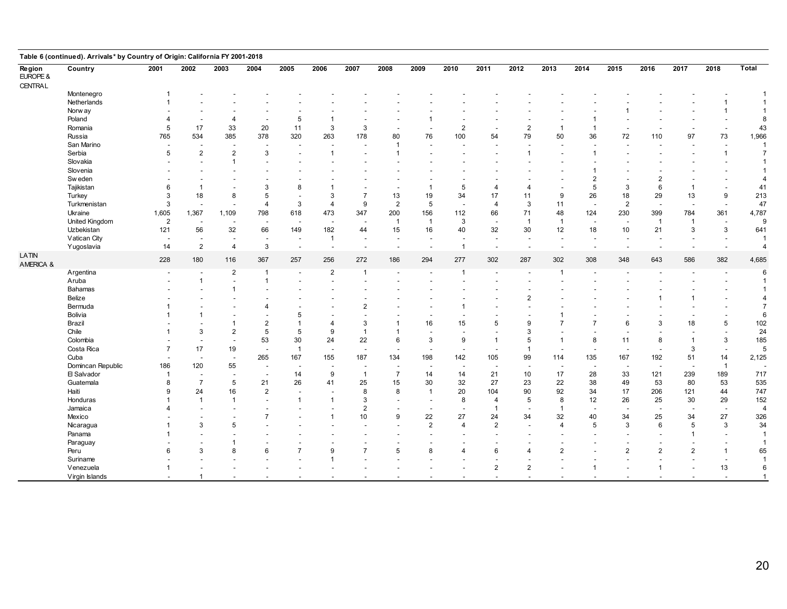| Table 6 (continued). Arrivals* by Country of Origin: California FY 2001-2018 |                   |                |                          |                          |                          |                          |                          |                          |                |                          |                                 |                         |                |                          |                                 |                          |                                 |                |                                 |                |
|------------------------------------------------------------------------------|-------------------|----------------|--------------------------|--------------------------|--------------------------|--------------------------|--------------------------|--------------------------|----------------|--------------------------|---------------------------------|-------------------------|----------------|--------------------------|---------------------------------|--------------------------|---------------------------------|----------------|---------------------------------|----------------|
| Region<br>EUROPE &<br><b>CENTRAL</b>                                         | Country           | 2001           | 2002                     | 2003                     | 2004                     | 2005                     | 2006                     | 2007                     | 2008           | 2009                     | 2010                            | 2011                    | 2012           | 2013                     | 2014                            | 2015                     | 2016                            | 2017           | 2018                            | <b>Total</b>   |
|                                                                              | Montenegro        |                |                          |                          |                          |                          |                          |                          |                |                          |                                 |                         |                |                          |                                 |                          |                                 |                |                                 |                |
|                                                                              | Netherlands       |                |                          |                          |                          |                          |                          |                          |                |                          |                                 |                         |                |                          |                                 |                          |                                 |                |                                 |                |
|                                                                              | Norw ay           |                |                          |                          |                          |                          |                          |                          |                |                          |                                 |                         |                |                          |                                 |                          |                                 |                |                                 |                |
|                                                                              | Poland            |                |                          |                          |                          | 5                        |                          |                          |                |                          |                                 |                         |                |                          |                                 |                          |                                 |                |                                 | 8              |
|                                                                              | Romania           | 5              | 17                       | 33                       | 20                       | 11                       | 3                        | 3                        |                |                          | $\overline{c}$                  |                         | $\overline{2}$ | $\mathbf{1}$             |                                 |                          |                                 |                | $\overline{\phantom{a}}$        | 43             |
|                                                                              | Russia            | 765            | 534                      | 385                      | 378                      | 320                      | 263                      | 178                      | 80             | 76                       | 100                             | 54                      | 79             | 50                       | 36                              | 72                       | 110                             | 97             | 73                              | 1,966          |
|                                                                              | San Marino        |                |                          |                          | $\overline{\phantom{a}}$ |                          |                          |                          | $\overline{1}$ |                          |                                 |                         |                | $\overline{\phantom{a}}$ |                                 |                          |                                 |                |                                 |                |
|                                                                              | Serbia            | 5              | $\overline{2}$           | $\overline{2}$           | 3                        |                          |                          |                          |                |                          |                                 |                         |                |                          |                                 |                          |                                 |                | $\overline{1}$                  | $\overline{7}$ |
|                                                                              | Slovakia          |                |                          |                          |                          |                          |                          |                          |                |                          |                                 |                         |                |                          |                                 |                          |                                 |                |                                 |                |
|                                                                              | Slovenia          |                |                          |                          |                          |                          |                          |                          |                |                          |                                 |                         |                |                          |                                 |                          |                                 |                |                                 |                |
|                                                                              | Sw eden           |                |                          |                          |                          |                          |                          |                          |                |                          |                                 |                         |                |                          |                                 |                          | 2                               |                |                                 | 4              |
|                                                                              | Tajikistan        | 6              | -1                       |                          | 3                        | 8                        |                          |                          |                |                          | 5                               | 4                       |                |                          | 5                               | 3                        | 6                               |                |                                 | 41             |
|                                                                              | Turkey            | 3              | 18                       | 8                        | 5                        |                          | 3                        | $\overline{7}$           | 13             | 19                       | 34                              | 17                      | 11             | 9                        | 26                              | 18                       | 29                              | 13             | 9                               | 213            |
|                                                                              | Turkmenistan      | 3              |                          |                          | $\overline{4}$           | 3                        | $\overline{4}$           | 9                        | $\overline{2}$ | 5                        |                                 | $\overline{\mathbf{A}}$ | 3              | 11                       |                                 | $\overline{2}$           |                                 |                |                                 | 47             |
|                                                                              | Ukraine           | 1,605          | 1,367                    | 1,109                    | 798                      | 618                      | 473                      | 347                      | 200            | 156                      | $\overline{\phantom{a}}$<br>112 | 66                      | 71             | 48                       | $\overline{\phantom{a}}$<br>124 | 230                      | $\overline{\phantom{a}}$<br>399 | 784            | $\overline{\phantom{a}}$<br>361 | 4,787          |
|                                                                              |                   |                |                          |                          |                          |                          |                          |                          | $\overline{1}$ | $\overline{1}$           | 3                               |                         | $\overline{1}$ | $\overline{1}$           |                                 |                          | $\overline{1}$                  | -1             |                                 | 9              |
|                                                                              | United Kingdom    | $\overline{2}$ |                          |                          |                          |                          |                          |                          |                |                          |                                 |                         |                |                          |                                 |                          |                                 | 3              | $\overline{\phantom{a}}$        |                |
|                                                                              | Uzbekistan        | 121            | 56                       | 32                       | 66                       | 149                      | 182                      | 44                       | 15             | 16                       | 40                              | 32                      | 30             | 12                       | 18                              | 10                       | 21                              |                | $\mathbf{3}$                    | 641            |
|                                                                              | Vatican City      |                |                          |                          | $\overline{a}$           |                          | $\overline{1}$           | $\overline{\phantom{a}}$ |                |                          |                                 |                         |                | $\sim$                   |                                 |                          |                                 |                |                                 | -1             |
|                                                                              | Yugoslavia        | 14             | $\overline{2}$           | $\overline{4}$           | 3                        | $\blacksquare$           | $\overline{\phantom{a}}$ | $\sim$                   |                | $\overline{\phantom{a}}$ | $\overline{1}$                  |                         |                | $\sim$                   | $\overline{a}$                  | $\overline{\phantom{a}}$ | ÷,                              |                | $\sim$                          | $\overline{4}$ |
| LATIN<br>AMERICA &                                                           |                   | 228            | 180                      | 116                      | 367                      | 257                      | 256                      | 272                      | 186            | 294                      | 277                             | 302                     | 287            | 302                      | 308                             | 348                      | 643                             | 586            | 382                             | 4,685          |
|                                                                              | Argentina         |                |                          | $\overline{2}$           | $\overline{1}$           | $\overline{\phantom{a}}$ | $\overline{2}$           | $\overline{1}$           |                | $\overline{\phantom{a}}$ | $\overline{1}$                  |                         |                | $\mathbf{1}$             |                                 |                          |                                 |                |                                 | 6              |
|                                                                              | Aruba             |                | $\overline{1}$           |                          | $\mathbf{1}$             |                          |                          |                          |                |                          |                                 |                         |                |                          |                                 |                          |                                 |                |                                 |                |
|                                                                              | Bahamas           |                |                          |                          |                          |                          |                          |                          |                |                          |                                 |                         |                |                          |                                 |                          |                                 |                |                                 | -1             |
|                                                                              | Belize            |                |                          |                          |                          |                          |                          |                          |                |                          |                                 |                         |                |                          |                                 |                          |                                 |                |                                 | Δ              |
|                                                                              | Bermuda           |                |                          |                          | 4                        |                          |                          | $\overline{2}$           |                |                          |                                 |                         |                |                          |                                 |                          |                                 |                |                                 | $\overline{7}$ |
|                                                                              | Bolivia           |                |                          |                          |                          |                          |                          |                          |                |                          |                                 |                         |                |                          |                                 |                          |                                 |                |                                 | 6              |
|                                                                              | Brazil            |                |                          |                          | $\overline{2}$           |                          | $\overline{4}$           | 3                        |                | 16                       | 15                              | 5                       | 9              | $\overline{7}$           |                                 | 6                        | 3                               | 18             | 5                               | 102            |
|                                                                              | Chile             |                | 3                        |                          | 5                        | 5                        | 9                        | $\mathbf{1}$             |                |                          |                                 |                         | 3              |                          |                                 |                          |                                 |                |                                 | 24             |
|                                                                              | Colombia          |                |                          |                          | 53                       | 30                       | 24                       | 22                       | 6              | 3                        | 9                               | $\mathbf 1$             | 5              | $\mathbf{1}$             | 8                               | 11                       | 8                               |                | 3                               | 185            |
|                                                                              | Costa Rica        |                | 17                       | 19                       | $\overline{\phantom{a}}$ | $\overline{1}$           |                          | $\overline{\phantom{a}}$ |                |                          | $\overline{\phantom{a}}$        |                         | -1             | $\overline{\phantom{a}}$ |                                 | $\overline{\phantom{a}}$ |                                 | 3              | $\overline{\phantom{a}}$        | 5              |
|                                                                              | Cuba              |                | $\overline{\phantom{a}}$ | $\overline{\phantom{a}}$ | 265                      | 167                      | 155                      | 187                      | 134            | 198                      | 142                             | 105                     | 99             | 114                      | 135                             | 167                      | 192                             | 51             | 14                              | 2,125          |
|                                                                              | Domincan Republic | 186            | 120                      | 55                       | $\overline{\phantom{a}}$ |                          |                          |                          |                |                          | $\overline{\phantom{a}}$        |                         |                | $\overline{\phantom{a}}$ |                                 | $\overline{a}$           | $\overline{\phantom{a}}$        |                | $\overline{1}$                  |                |
|                                                                              | 日 Salvador        | -1             |                          |                          | $\overline{\phantom{a}}$ | 14                       | 9                        | $\overline{1}$           | $\overline{7}$ | 14                       | 14                              | 21                      | 10             | 17                       | 28                              | 33                       | 121                             | 239            | 189                             | 717            |
|                                                                              | Guatemala         | 8              | $\overline{7}$           | 5                        | 21                       | 26                       | 41                       | 25                       | 15             | 30                       | 32                              | 27                      | 23             | 22                       | 38                              | 49                       | 53                              | 80             | 53                              | 535            |
|                                                                              | Haiti             | 9              | 24                       | 16                       | $\overline{2}$           |                          |                          | 8                        | 8              | $\overline{1}$           | 20                              | 104                     | 90             | 92                       | 34                              | 17                       | 206                             | 121            | 44                              | 747            |
|                                                                              | Honduras          |                | $\mathbf{1}$             |                          |                          |                          |                          | 3                        |                |                          | 8                               | $\overline{4}$          | 5              | 8                        | 12                              | 26                       | 25                              | 30             | 29                              | 152            |
|                                                                              | Jamaica           |                |                          |                          |                          |                          |                          | $\overline{2}$           |                |                          |                                 | -1                      |                | $\overline{1}$           |                                 |                          |                                 |                | $\overline{\phantom{a}}$        | $\overline{4}$ |
|                                                                              | Mexico            |                |                          |                          |                          |                          |                          | 10                       | 9              | 22                       | 27                              | 24                      | 34             | 32                       | 40                              | 34                       | 25                              | 34             | 27                              | 326            |
|                                                                              | Nicaragua         |                | 3                        |                          |                          |                          |                          |                          |                | $\overline{2}$           | $\overline{4}$                  | $\overline{2}$          |                | $\overline{4}$           | 5                               | 3                        | 6                               | 5              | 3                               | 34             |
|                                                                              | Panama            |                |                          |                          |                          |                          |                          |                          |                |                          |                                 |                         |                |                          |                                 |                          |                                 |                |                                 | $\mathbf{1}$   |
|                                                                              | Paraguay          |                |                          |                          |                          |                          |                          |                          |                |                          |                                 |                         |                |                          |                                 |                          |                                 |                |                                 | -1             |
|                                                                              |                   | ĥ              | 3                        |                          | 6                        |                          | 9                        | $\overline{7}$           | 5              | 8                        | Δ                               | 6                       |                | $\overline{2}$           |                                 | $\overline{2}$           | $\overline{2}$                  | $\overline{2}$ | -1                              | 65             |
|                                                                              | Peru<br>Suriname  |                |                          |                          |                          |                          |                          |                          |                |                          |                                 |                         |                |                          |                                 |                          |                                 |                |                                 | $\mathbf{1}$   |
|                                                                              | Venezuela         |                |                          |                          |                          |                          |                          |                          |                |                          |                                 | $\overline{2}$          | $\overline{2}$ |                          |                                 |                          |                                 |                | 13                              | 6              |
|                                                                              |                   |                | $\mathbf{1}$             |                          |                          |                          |                          |                          |                |                          |                                 |                         |                |                          |                                 |                          |                                 |                |                                 | $\mathbf{1}$   |
|                                                                              | Virgin Islands    |                |                          |                          |                          |                          |                          |                          |                |                          |                                 |                         |                |                          |                                 |                          |                                 |                |                                 |                |